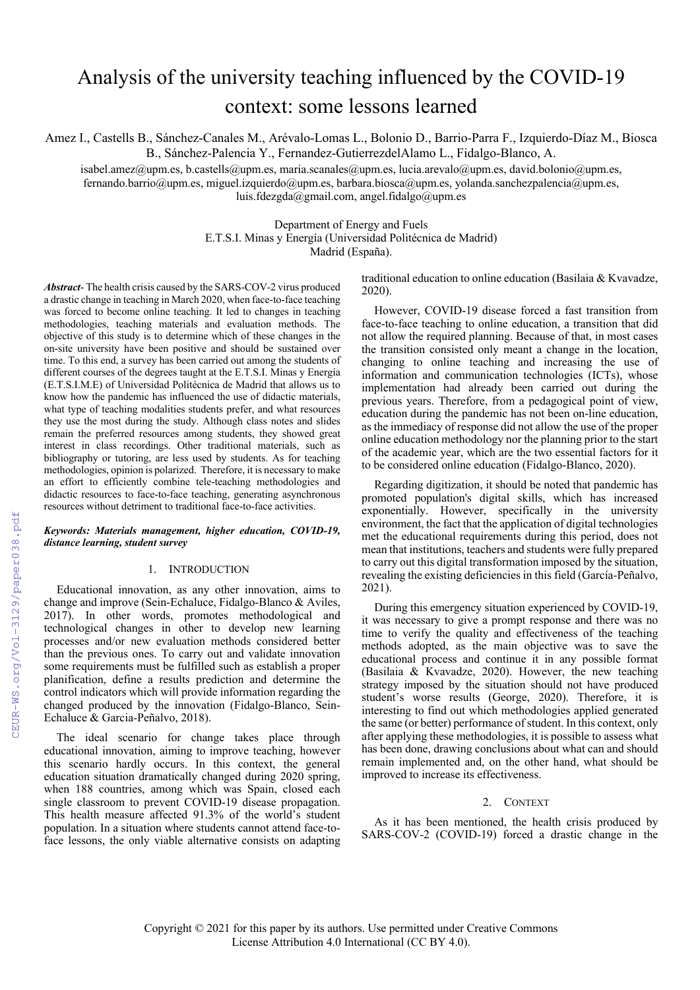# Analysis of the university teaching influenced by the COVID-19 context: some lessons learned

Amez I., Castells B., Sánchez-Canales M., Arévalo-Lomas L., Bolonio D., Barrio-Parra F., Izquierdo-Díaz M., Biosca B., Sánchez-Palencia Y., Fernandez-GutierrezdelAlamo L., Fidalgo-Blanco, A.

isabel.amez@upm.es, b.castells@upm.es, maria.scanales@upm.es, lucia.arevalo@upm.es, david.bolonio@upm.es, fernando.barrio@upm.es, miguel.izquierdo@upm.es, barbara.biosca@upm.es, yolanda.sanchezpalencia@upm.es, luis.fdezgda@gmail.com, angel.fidalgo@upm.es

> Department of Energy and Fuels E.T.S.I. Minas y Energía (Universidad Politécnica de Madrid) Madrid (España).

*Abstract*- The health crisis caused by the SARS-COV-2 virus produced a drastic change in teaching in March 2020, when face-to-face teaching was forced to become online teaching. It led to changes in teaching methodologies, teaching materials and evaluation methods. The objective of this study is to determine which of these changes in the on-site university have been positive and should be sustained over time. To this end, a survey has been carried out among the students of different courses of the degrees taught at the E.T.S.I. Minas y Energía (E.T.S.I.M.E) of Universidad Politécnica de Madrid that allows us to know how the pandemic has influenced the use of didactic materials, what type of teaching modalities students prefer, and what resources they use the most during the study. Although class notes and slides remain the preferred resources among students, they showed great interest in class recordings. Other traditional materials, such as bibliography or tutoring, are less used by students. As for teaching methodologies, opinion is polarized. Therefore, it is necessary to make an effort to efficiently combine tele-teaching methodologies and didactic resources to face-to-face teaching, generating asynchronous resources without detriment to traditional face-to-face activities.

*Keywords: Materials management, higher education, COVID-19, distance learning, student survey*

## 1. INTRODUCTION

Educational innovation, as any other innovation, aims to change and improve (Sein-Echaluce, Fidalgo-Blanco & Aviles, 2017). In other words, promotes methodological and technological changes in other to develop new learning processes and/or new evaluation methods considered better than the previous ones. To carry out and validate innovation some requirements must be fulfilled such as establish a proper planification, define a results prediction and determine the control indicators which will provide information regarding the changed produced by the innovation (Fidalgo-Blanco, Sein-Echaluce & Garcia-Peñalvo, 2018).

The ideal scenario for change takes place through educational innovation, aiming to improve teaching, however this scenario hardly occurs. In this context, the general education situation dramatically changed during 2020 spring, when 188 countries, among which was Spain, closed each single classroom to prevent COVID-19 disease propagation. This health measure affected 91.3% of the world's student population. In a situation where students cannot attend face-toface lessons, the only viable alternative consists on adapting traditional education to online education (Basilaia & Kvavadze, 2020).

However, COVID-19 disease forced a fast transition from face-to-face teaching to online education, a transition that did not allow the required planning. Because of that, in most cases the transition consisted only meant a change in the location, changing to online teaching and increasing the use of information and communication technologies (ICTs), whose implementation had already been carried out during the previous years. Therefore, from a pedagogical point of view, education during the pandemic has not been on-line education, as the immediacy of response did not allow the use of the proper online education methodology nor the planning prior to the start of the academic year, which are the two essential factors for it to be considered online education (Fidalgo-Blanco, 2020).

Regarding digitization, it should be noted that pandemic has promoted population's digital skills, which has increased exponentially. However, specifically in the university environment, the fact that the application of digital technologies met the educational requirements during this period, does not mean that institutions, teachers and students were fully prepared to carry out this digital transformation imposed by the situation, revealing the existing deficiencies in this field (García-Peñalvo, 2021).

During this emergency situation experienced by COVID-19, it was necessary to give a prompt response and there was no time to verify the quality and effectiveness of the teaching methods adopted, as the main objective was to save the educational process and continue it in any possible format (Basilaia & Kvavadze, 2020). However, the new teaching strategy imposed by the situation should not have produced student's worse results (George, 2020). Therefore, it is interesting to find out which methodologies applied generated the same (or better) performance of student. In this context, only after applying these methodologies, it is possible to assess what has been done, drawing conclusions about what can and should remain implemented and, on the other hand, what should be improved to increase its effectiveness.

# 2. CONTEXT

As it has been mentioned, the health crisis produced by SARS-COV-2 (COVID-19) forced a drastic change in the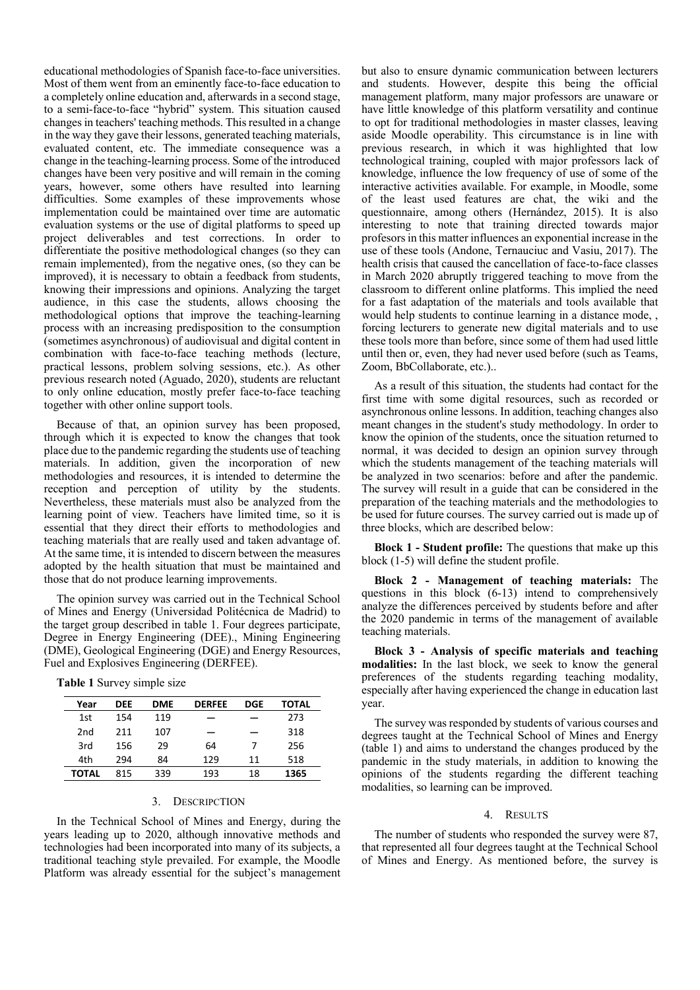educational methodologies of Spanish face-to-face universities. Most of them went from an eminently face-to-face education to a completely online education and, afterwards in a second stage, to a semi-face-to-face "hybrid" system. This situation caused changes in teachers' teaching methods. This resulted in a change in the way they gave their lessons, generated teaching materials, evaluated content, etc. The immediate consequence was a change in the teaching-learning process. Some of the introduced changes have been very positive and will remain in the coming years, however, some others have resulted into learning difficulties. Some examples of these improvements whose implementation could be maintained over time are automatic evaluation systems or the use of digital platforms to speed up project deliverables and test corrections. In order to differentiate the positive methodological changes (so they can remain implemented), from the negative ones, (so they can be improved), it is necessary to obtain a feedback from students, knowing their impressions and opinions. Analyzing the target audience, in this case the students, allows choosing the methodological options that improve the teaching-learning process with an increasing predisposition to the consumption (sometimes asynchronous) of audiovisual and digital content in combination with face-to-face teaching methods (lecture, practical lessons, problem solving sessions, etc.). As other previous research noted (Aguado, 2020), students are reluctant to only online education, mostly prefer face-to-face teaching together with other online support tools.

Because of that, an opinion survey has been proposed, through which it is expected to know the changes that took place due to the pandemic regarding the students use of teaching materials. In addition, given the incorporation of new methodologies and resources, it is intended to determine the reception and perception of utility by the students. Nevertheless, these materials must also be analyzed from the learning point of view. Teachers have limited time, so it is essential that they direct their efforts to methodologies and teaching materials that are really used and taken advantage of. At the same time, it is intended to discern between the measures adopted by the health situation that must be maintained and those that do not produce learning improvements.

The opinion survey was carried out in the Technical School of Mines and Energy (Universidad Politécnica de Madrid) to the target group described in table 1. Four degrees participate, Degree in Energy Engineering (DEE)., Mining Engineering (DME), Geological Engineering (DGE) and Energy Resources, Fuel and Explosives Engineering (DERFEE).

|  | Table 1 Survey simple size |  |
|--|----------------------------|--|

| Year            | DEE | <b>DME</b> | <b>DERFEE</b> | DGE | TOTAL |
|-----------------|-----|------------|---------------|-----|-------|
| 1st             | 154 | 119        |               |     | 273   |
| 2 <sub>nd</sub> | 211 | 107        |               |     | 318   |
| 3rd             | 156 | 29         | 64            | 7   | 256   |
| 4th             | 294 | 84         | 129           | 11  | 518   |
| TOTAL           | 815 | 339        | 193           | 18  | 1365  |

#### 3. DESCRIPCTION

In the Technical School of Mines and Energy, during the years leading up to 2020, although innovative methods and technologies had been incorporated into many of its subjects, a traditional teaching style prevailed. For example, the Moodle Platform was already essential for the subject's management but also to ensure dynamic communication between lecturers and students. However, despite this being the official management platform, many major professors are unaware or have little knowledge of this platform versatility and continue to opt for traditional methodologies in master classes, leaving aside Moodle operability. This circumstance is in line with previous research, in which it was highlighted that low technological training, coupled with major professors lack of knowledge, influence the low frequency of use of some of the interactive activities available. For example, in Moodle, some of the least used features are chat, the wiki and the questionnaire, among others (Hernández, 2015). It is also interesting to note that training directed towards major profesorsin this matter influences an exponential increase in the use of these tools (Andone, Ternauciuc and Vasiu, 2017). The health crisis that caused the cancellation of face-to-face classes in March 2020 abruptly triggered teaching to move from the classroom to different online platforms. This implied the need for a fast adaptation of the materials and tools available that would help students to continue learning in a distance mode, , forcing lecturers to generate new digital materials and to use these tools more than before, since some of them had used little until then or, even, they had never used before (such as Teams, Zoom, BbCollaborate, etc.)..

As a result of this situation, the students had contact for the first time with some digital resources, such as recorded or asynchronous online lessons. In addition, teaching changes also meant changes in the student's study methodology. In order to know the opinion of the students, once the situation returned to normal, it was decided to design an opinion survey through which the students management of the teaching materials will be analyzed in two scenarios: before and after the pandemic. The survey will result in a guide that can be considered in the preparation of the teaching materials and the methodologies to be used for future courses. The survey carried out is made up of three blocks, which are described below:

**Block 1 - Student profile:** The questions that make up this block (1-5) will define the student profile.

**Block 2 - Management of teaching materials:** The questions in this block (6-13) intend to comprehensively analyze the differences perceived by students before and after the 2020 pandemic in terms of the management of available teaching materials.

**Block 3 - Analysis of specific materials and teaching modalities:** In the last block, we seek to know the general preferences of the students regarding teaching modality, especially after having experienced the change in education last year.

The survey was responded by students of various courses and degrees taught at the Technical School of Mines and Energy (table 1) and aims to understand the changes produced by the pandemic in the study materials, in addition to knowing the opinions of the students regarding the different teaching modalities, so learning can be improved.

#### 4. RESULTS

The number of students who responded the survey were 87, that represented all four degrees taught at the Technical School of Mines and Energy. As mentioned before, the survey is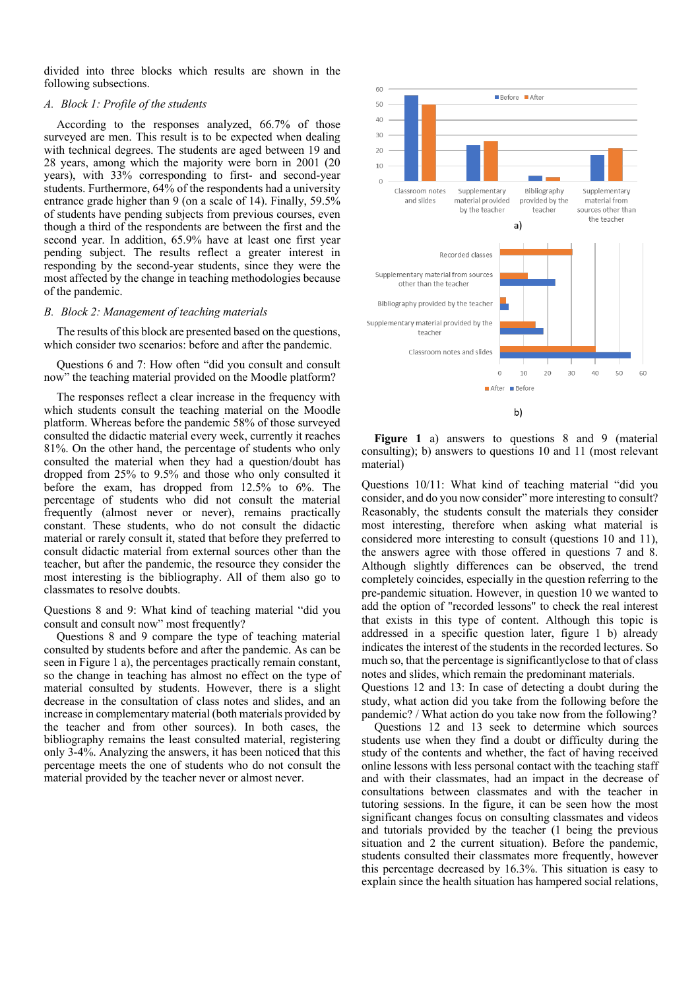divided into three blocks which results are shown in the following subsections.

#### *A. Block 1: Profile of the students*

According to the responses analyzed, 66.7% of those surveyed are men. This result is to be expected when dealing with technical degrees. The students are aged between 19 and 28 years, among which the majority were born in 2001 (20 years), with 33% corresponding to first- and second-year students. Furthermore, 64% of the respondents had a university entrance grade higher than 9 (on a scale of 14). Finally, 59.5% of students have pending subjects from previous courses, even though a third of the respondents are between the first and the second year. In addition, 65.9% have at least one first year pending subject. The results reflect a greater interest in responding by the second-year students, since they were the most affected by the change in teaching methodologies because of the pandemic.

## *B. Block 2: Management of teaching materials*

The results of this block are presented based on the questions, which consider two scenarios: before and after the pandemic.

Questions 6 and 7: How often "did you consult and consult now" the teaching material provided on the Moodle platform?

The responses reflect a clear increase in the frequency with which students consult the teaching material on the Moodle platform. Whereas before the pandemic 58% of those surveyed consulted the didactic material every week, currently it reaches 81%. On the other hand, the percentage of students who only consulted the material when they had a question/doubt has dropped from 25% to 9.5% and those who only consulted it before the exam, has dropped from 12.5% to 6%. The percentage of students who did not consult the material frequently (almost never or never), remains practically constant. These students, who do not consult the didactic material or rarely consult it, stated that before they preferred to consult didactic material from external sources other than the teacher, but after the pandemic, the resource they consider the most interesting is the bibliography. All of them also go to classmates to resolve doubts.

Questions 8 and 9: What kind of teaching material "did you consult and consult now" most frequently?

Questions 8 and 9 compare the type of teaching material consulted by students before and after the pandemic. As can be seen in Figure 1 a), the percentages practically remain constant, so the change in teaching has almost no effect on the type of material consulted by students. However, there is a slight decrease in the consultation of class notes and slides, and an increase in complementary material (both materials provided by the teacher and from other sources). In both cases, the bibliography remains the least consulted material, registering only 3-4%. Analyzing the answers, it has been noticed that this percentage meets the one of students who do not consult the material provided by the teacher never or almost never.



**Figure 1** a) answers to questions 8 and 9 (material consulting); b) answers to questions 10 and 11 (most relevant material)

Questions 10/11: What kind of teaching material "did you consider, and do you now consider" more interesting to consult? Reasonably, the students consult the materials they consider most interesting, therefore when asking what material is considered more interesting to consult (questions 10 and 11), the answers agree with those offered in questions 7 and 8. Although slightly differences can be observed, the trend completely coincides, especially in the question referring to the pre-pandemic situation. However, in question 10 we wanted to add the option of "recorded lessons" to check the real interest that exists in this type of content. Although this topic is addressed in a specific question later, figure 1 b) already indicates the interest of the students in the recorded lectures. So much so, that the percentage is significantlyclose to that of class notes and slides, which remain the predominant materials.

Questions 12 and 13: In case of detecting a doubt during the study, what action did you take from the following before the pandemic? / What action do you take now from the following?

Questions 12 and 13 seek to determine which sources students use when they find a doubt or difficulty during the study of the contents and whether, the fact of having received online lessons with less personal contact with the teaching staff and with their classmates, had an impact in the decrease of consultations between classmates and with the teacher in tutoring sessions. In the figure, it can be seen how the most significant changes focus on consulting classmates and videos and tutorials provided by the teacher (1 being the previous situation and 2 the current situation). Before the pandemic, students consulted their classmates more frequently, however this percentage decreased by 16.3%. This situation is easy to explain since the health situation has hampered social relations,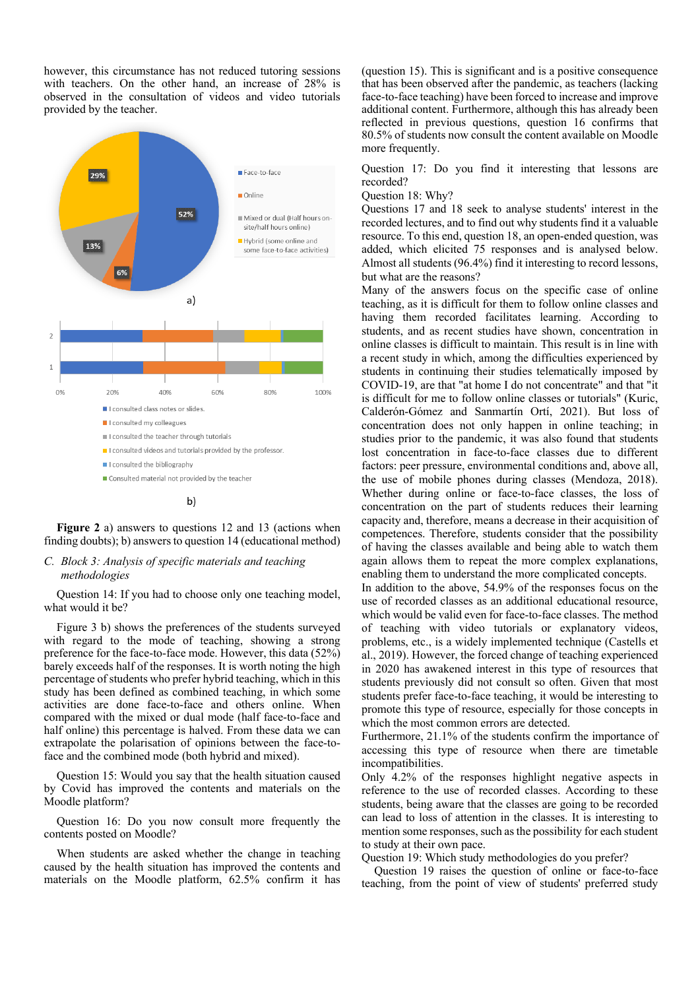however, this circumstance has not reduced tutoring sessions with teachers. On the other hand, an increase of 28% is observed in the consultation of videos and video tutorials provided by the teacher.



**Figure 2** a) answers to questions 12 and 13 (actions when finding doubts); b) answers to question 14 (educational method)

# *C. Block 3: Analysis of specific materials and teaching methodologies*

Question 14: If you had to choose only one teaching model, what would it be?

Figure 3 b) shows the preferences of the students surveyed with regard to the mode of teaching, showing a strong preference for the face-to-face mode. However, this data (52%) barely exceeds half of the responses. It is worth noting the high percentage of students who prefer hybrid teaching, which in this study has been defined as combined teaching, in which some activities are done face-to-face and others online. When compared with the mixed or dual mode (half face-to-face and half online) this percentage is halved. From these data we can extrapolate the polarisation of opinions between the face-toface and the combined mode (both hybrid and mixed).

Question 15: Would you say that the health situation caused by Covid has improved the contents and materials on the Moodle platform?

Question 16: Do you now consult more frequently the contents posted on Moodle?

When students are asked whether the change in teaching caused by the health situation has improved the contents and materials on the Moodle platform, 62.5% confirm it has (question 15). This is significant and is a positive consequence that has been observed after the pandemic, as teachers (lacking face-to-face teaching) have been forced to increase and improve additional content. Furthermore, although this has already been reflected in previous questions, question 16 confirms that 80.5% of students now consult the content available on Moodle more frequently.

Question 17: Do you find it interesting that lessons are recorded?

Question 18: Why?

Questions 17 and 18 seek to analyse students' interest in the recorded lectures, and to find out why students find it a valuable resource. To this end, question 18, an open-ended question, was added, which elicited 75 responses and is analysed below. Almost all students (96.4%) find it interesting to record lessons, but what are the reasons?

Many of the answers focus on the specific case of online teaching, as it is difficult for them to follow online classes and having them recorded facilitates learning. According to students, and as recent studies have shown, concentration in online classes is difficult to maintain. This result is in line with a recent study in which, among the difficulties experienced by students in continuing their studies telematically imposed by COVID-19, are that "at home I do not concentrate" and that "it is difficult for me to follow online classes or tutorials" (Kuric, Calderón-Gómez and Sanmartín Ortí, 2021). But loss of concentration does not only happen in online teaching; in studies prior to the pandemic, it was also found that students lost concentration in face-to-face classes due to different factors: peer pressure, environmental conditions and, above all, the use of mobile phones during classes (Mendoza, 2018). Whether during online or face-to-face classes, the loss of concentration on the part of students reduces their learning capacity and, therefore, means a decrease in their acquisition of competences. Therefore, students consider that the possibility of having the classes available and being able to watch them again allows them to repeat the more complex explanations, enabling them to understand the more complicated concepts.

In addition to the above, 54.9% of the responses focus on the use of recorded classes as an additional educational resource, which would be valid even for face-to-face classes. The method of teaching with video tutorials or explanatory videos, problems, etc., is a widely implemented technique (Castells et al., 2019). However, the forced change of teaching experienced in 2020 has awakened interest in this type of resources that students previously did not consult so often. Given that most students prefer face-to-face teaching, it would be interesting to promote this type of resource, especially for those concepts in which the most common errors are detected.

Furthermore, 21.1% of the students confirm the importance of accessing this type of resource when there are timetable incompatibilities.

Only 4.2% of the responses highlight negative aspects in reference to the use of recorded classes. According to these students, being aware that the classes are going to be recorded can lead to loss of attention in the classes. It is interesting to mention some responses, such as the possibility for each student to study at their own pace.

Question 19: Which study methodologies do you prefer?

Question 19 raises the question of online or face-to-face teaching, from the point of view of students' preferred study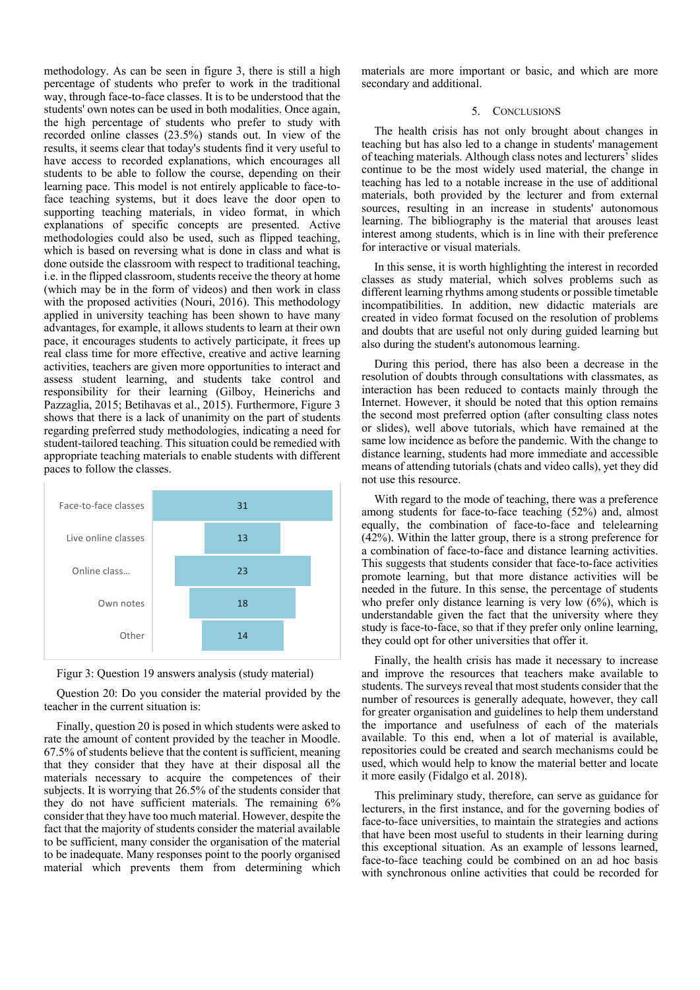methodology. As can be seen in figure 3, there is still a high percentage of students who prefer to work in the traditional way, through face-to-face classes. It is to be understood that the students' own notes can be used in both modalities. Once again, the high percentage of students who prefer to study with recorded online classes (23.5%) stands out. In view of the results, it seems clear that today's students find it very useful to have access to recorded explanations, which encourages all students to be able to follow the course, depending on their learning pace. This model is not entirely applicable to face-toface teaching systems, but it does leave the door open to supporting teaching materials, in video format, in which explanations of specific concepts are presented. Active methodologies could also be used, such as flipped teaching, which is based on reversing what is done in class and what is done outside the classroom with respect to traditional teaching, i.e. in the flipped classroom, students receive the theory at home (which may be in the form of videos) and then work in class with the proposed activities (Nouri, 2016). This methodology applied in university teaching has been shown to have many advantages, for example, it allows students to learn at their own pace, it encourages students to actively participate, it frees up real class time for more effective, creative and active learning activities, teachers are given more opportunities to interact and assess student learning, and students take control and responsibility for their learning (Gilboy, Heinerichs and Pazzaglia, 2015; Betihavas et al., 2015). Furthermore, Figure 3 shows that there is a lack of unanimity on the part of students regarding preferred study methodologies, indicating a need for student-tailored teaching. This situation could be remedied with appropriate teaching materials to enable students with different paces to follow the classes.





Question 20: Do you consider the material provided by the teacher in the current situation is:

Finally, question 20 is posed in which students were asked to rate the amount of content provided by the teacher in Moodle. 67.5% of students believe that the content is sufficient, meaning that they consider that they have at their disposal all the materials necessary to acquire the competences of their subjects. It is worrying that 26.5% of the students consider that they do not have sufficient materials. The remaining 6% consider that they have too much material. However, despite the fact that the majority of students consider the material available to be sufficient, many consider the organisation of the material to be inadequate. Many responses point to the poorly organised material which prevents them from determining which materials are more important or basic, and which are more secondary and additional.

# 5. CONCLUSIONS

The health crisis has not only brought about changes in teaching but has also led to a change in students' management of teaching materials. Although class notes and lecturers' slides continue to be the most widely used material, the change in teaching has led to a notable increase in the use of additional materials, both provided by the lecturer and from external sources, resulting in an increase in students' autonomous learning. The bibliography is the material that arouses least interest among students, which is in line with their preference for interactive or visual materials.

In this sense, it is worth highlighting the interest in recorded classes as study material, which solves problems such as different learning rhythms among students or possible timetable incompatibilities. In addition, new didactic materials are created in video format focused on the resolution of problems and doubts that are useful not only during guided learning but also during the student's autonomous learning.

During this period, there has also been a decrease in the resolution of doubts through consultations with classmates, as interaction has been reduced to contacts mainly through the Internet. However, it should be noted that this option remains the second most preferred option (after consulting class notes or slides), well above tutorials, which have remained at the same low incidence as before the pandemic. With the change to distance learning, students had more immediate and accessible means of attending tutorials (chats and video calls), yet they did not use this resource.

With regard to the mode of teaching, there was a preference among students for face-to-face teaching (52%) and, almost equally, the combination of face-to-face and telelearning (42%). Within the latter group, there is a strong preference for a combination of face-to-face and distance learning activities. This suggests that students consider that face-to-face activities promote learning, but that more distance activities will be needed in the future. In this sense, the percentage of students who prefer only distance learning is very low  $(6%)$ , which is understandable given the fact that the university where they study is face-to-face, so that if they prefer only online learning, they could opt for other universities that offer it.

Finally, the health crisis has made it necessary to increase and improve the resources that teachers make available to students. The surveys reveal that most students consider that the number of resources is generally adequate, however, they call for greater organisation and guidelines to help them understand the importance and usefulness of each of the materials available. To this end, when a lot of material is available, repositories could be created and search mechanisms could be used, which would help to know the material better and locate it more easily (Fidalgo et al. 2018).

This preliminary study, therefore, can serve as guidance for lecturers, in the first instance, and for the governing bodies of face-to-face universities, to maintain the strategies and actions that have been most useful to students in their learning during this exceptional situation. As an example of lessons learned, face-to-face teaching could be combined on an ad hoc basis with synchronous online activities that could be recorded for